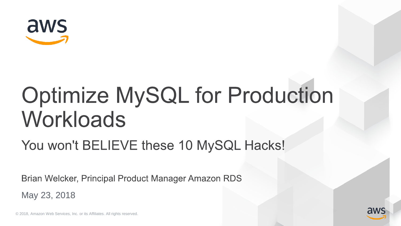

# **Optimize MySQL for Production** Workloads

### You won't BELIEVE these 10 MySQL Hacks!

Brian Welcker, Principal Product Manager Amazon RDS

May 23, 2018

© 2018, Amazon Web Services, Inc. or its Affiliates. All rights reserved.

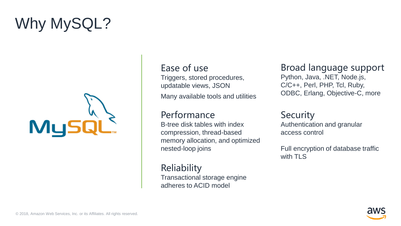# Why MySQL?



#### Ease of use

Triggers, stored procedures, updatable views, JSON

Many available tools and utilities

#### Performance

B-tree disk tables with index compression, thread-based memory allocation, and optimized nested-loop joins

**Reliability** Transactional storage engine adheres to ACID model

#### Broad language support

Python, Java, .NET, Node.js, C/C++, Perl, PHP, Tcl, Ruby, ODBC, Erlang, Objective-C, more

#### **Security**

Authentication and granular access control

Full encryption of database traffic with TLS

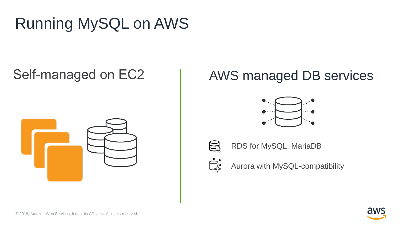# Running MySQL on AWS

### Self-managed on EC2



#### AWS managed DB services



RDS for MySQL, MariaDB

Aurora with MySQL-compatibility

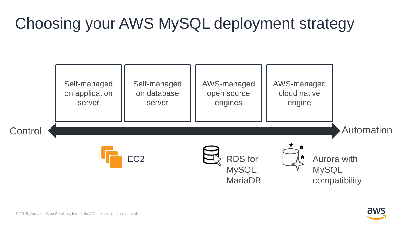### Choosing your AWS MySQL deployment strategy



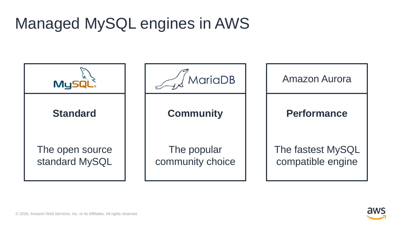### Managed MySQL engines in AWS

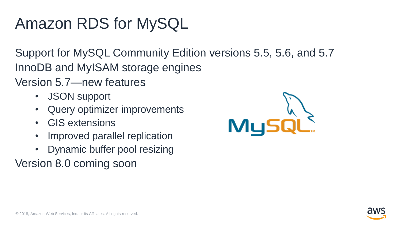### Amazon RDS for MySQL

Support for MySQL Community Edition versions 5.5, 5.6, and 5.7 InnoDB and MyISAM storage engines

Version 5.7—new features

- JSON support
- Query optimizer improvements
- GIS extensions
- Improved parallel replication
- Dynamic buffer pool resizing

Version 8.0 coming soon



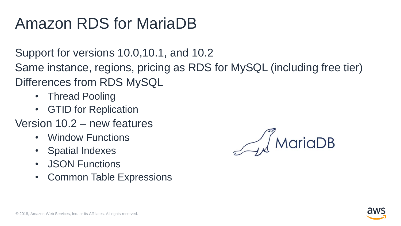### Amazon RDS for MariaDB

Support for versions 10.0,10.1, and 10.2

Same instance, regions, pricing as RDS for MySQL (including free tier) Differences from RDS MySQL

- Thread Pooling
- GTID for Replication

#### Version 10.2 – new features

- Window Functions
- Spatial Indexes
- JSON Functions
- Common Table Expressions

/ MariaDB

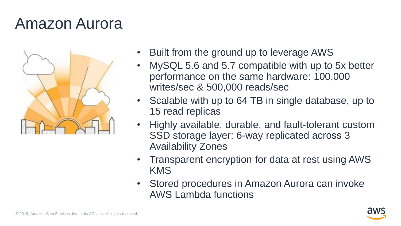### Amazon Aurora



- Built from the ground up to leverage AWS
- MySQL 5.6 and 5.7 compatible with up to 5x better performance on the same hardware: 100,000 writes/sec & 500,000 reads/sec
- Scalable with up to 64 TB in single database, up to 15 read replicas
- Highly available, durable, and fault-tolerant custom SSD storage layer: 6-way replicated across 3 Availability Zones
- Transparent encryption for data at rest using AWS KMS
- Stored procedures in Amazon Aurora can invoke AWS Lambda functions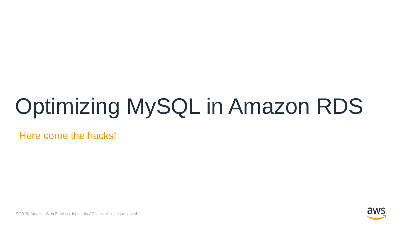# Optimizing MySQL in Amazon RDS

Here come the hacks!



© 2018, Amazon Web Services, Inc. or its Affiliates. All rights reserved.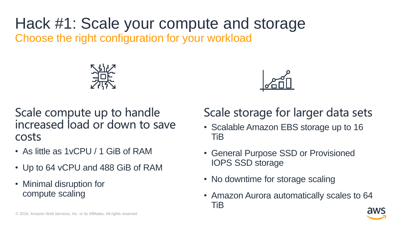Hack #1: Scale your compute and storage Choose the right configuration for your workload





Scale compute up to handle increased load or down to save costs

- As little as 1vCPU / 1 GiB of RAM
- Up to 64 vCPU and 488 GiB of RAM
- Minimal disruption for compute scaling

#### Scale storage for larger data sets

- Scalable Amazon EBS storage up to 16 TiB
- General Purpose SSD or Provisioned IOPS SSD storage
- No downtime for storage scaling
- Amazon Aurora automatically scales to 64 TiB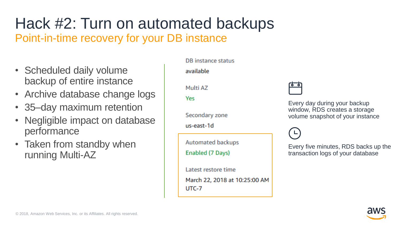#### Hack #2: Turn on automated backups Point-in-time recovery for your DB instance

- Scheduled daily volume backup of entire instance
- Archive database change logs
- 35–day maximum retention
- Negligible impact on database performance
- Taken from standby when running Multi-AZ

DB instance status

available

Multi AZ

Yes

Secondary zone

us-east-1d

**Automated backups** 

Enabled (7 Days)

Latest restore time

March 22, 2018 at 10:25:00 AM UTC-7



Every day during your backup window, RDS creates a storage volume snapshot of your instance

Every five minutes, RDS backs up the transaction logs of your database

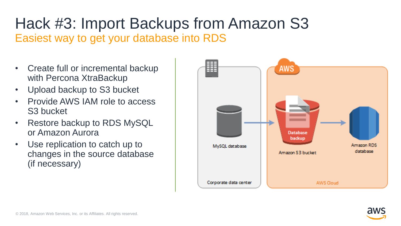#### Hack #3: Import Backups from Amazon S3 Easiest way to get your database into RDS

- Create full or incremental backup with Percona XtraBackup
- Upload backup to S3 bucket
- Provide AWS IAM role to access S3 bucket
- Restore backup to RDS MySQL or Amazon Aurora
- Use replication to catch up to changes in the source database (if necessary)



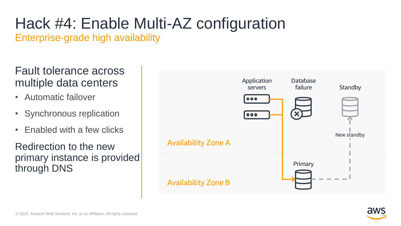# Hack #4: Enable Multi-AZ configuration

Enterprise-grade high availability

#### Fault tolerance across multiple data centers

- Automatic failover
- Synchronous replication
- Enabled with a few clicks

Redirection to the new primary instance is provided through DNS



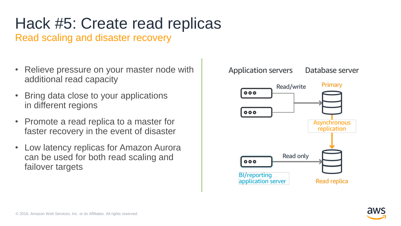# Hack #5: Create read replicas

Read scaling and disaster recovery

- Relieve pressure on your master node with additional read capacity
- Bring data close to your applications in different regions
- Promote a read replica to a master for faster recovery in the event of disaster
- Low latency replicas for Amazon Aurora can be used for both read scaling and failover targets

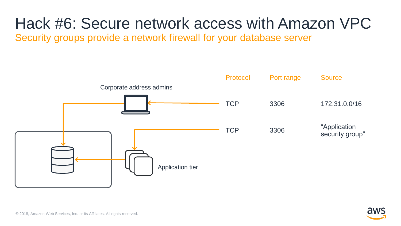## Hack #6: Secure network access with Amazon VPC

Security groups provide a network firewall for your database server

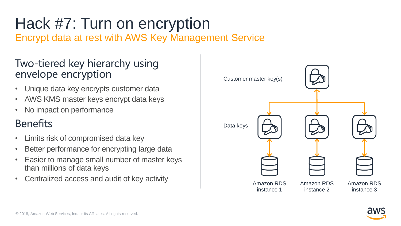# Hack #7: Turn on encryption

Encrypt data at rest with AWS Key Management Service

#### Two-tiered key hierarchy using envelope encryption

- Unique data key encrypts customer data
- AWS KMS master keys encrypt data keys
- No impact on performance

#### **Benefits**

- Limits risk of compromised data key
- Better performance for encrypting large data
- Easier to manage small number of master keys than millions of data keys
- Centralized access and audit of key activity



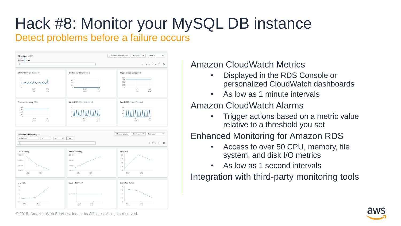# Hack #8: Monitor your MySQL DB instance

#### Detect problems before a failure occurs



Amazon CloudWatch Metrics

- Displayed in the RDS Console or personalized CloudWatch dashboards
- As low as 1 minute intervals

#### Amazon CloudWatch Alarms

• Trigger actions based on a metric value relative to a threshold you set

#### Enhanced Monitoring for Amazon RDS

- Access to over 50 CPU, memory, file system, and disk I/O metrics
- As low as 1 second intervals

Integration with third-party monitoring tools

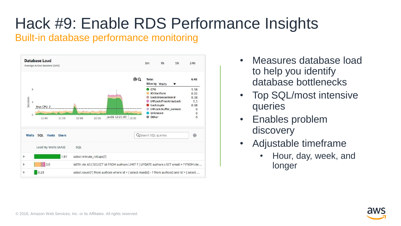# Hack #9: Enable RDS Performance Insights

#### Built-in database performance monitoring



- Measures database load to help you identify database bottlenecks
- Top SQL/most intensive queries
- Enables problem discovery
- Adjustable timeframe
	- Hour, day, week, and longer

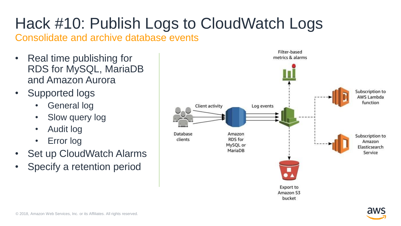# Hack #10: Publish Logs to CloudWatch Logs

Consolidate and archive database events

- Real time publishing for RDS for MySQL, MariaDB and Amazon Aurora
- Supported logs
	- General log
	- Slow query log
	- Audit log
	- Error log
- **Set up CloudWatch Alarms**
- Specify a retention period

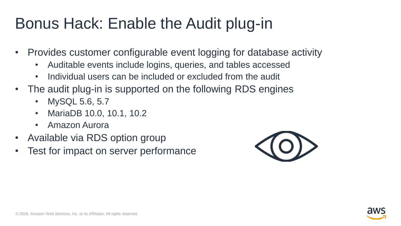### Bonus Hack: Enable the Audit plug-in

- Provides customer configurable event logging for database activity
	- Auditable events include logins, queries, and tables accessed
	- Individual users can be included or excluded from the audit
- The audit plug-in is supported on the following RDS engines
	- MySQL 5.6, 5.7
	- MariaDB 10.0, 10.1, 10.2
	- Amazon Aurora
- Available via RDS option group
- Test for impact on server performance



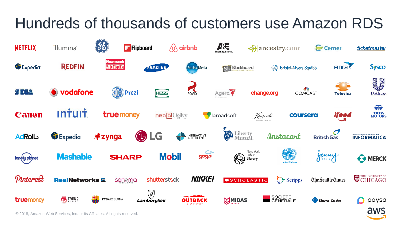### Hundreds of thousands of customers use Amazon RDS



© 2018, Amazon Web Services, Inc. or its Affiliates. All rights reserved.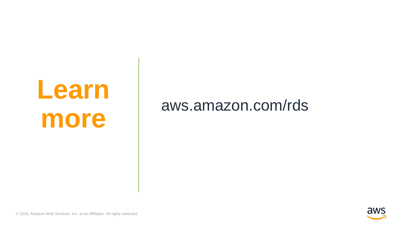# **Learn more**

### aws.amazon.com/rds